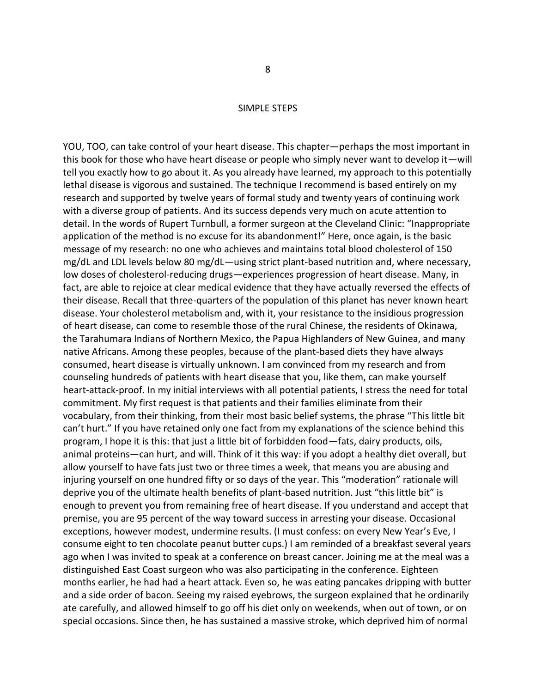## SIMPLE STEPS

YOU, TOO, can take control of your heart disease. This chapter—perhaps the most important in this book for those who have heart disease or people who simply never want to develop it—will tell you exactly how to go about it. As you already have learned, my approach to this potentially lethal disease is vigorous and sustained. The technique I recommend is based entirely on my research and supported by twelve years of formal study and twenty years of continuing work with a diverse group of patients. And its success depends very much on acute attention to detail. In the words of Rupert Turnbull, a former surgeon at the Cleveland Clinic: "Inappropriate application of the method is no excuse for its abandonment!" Here, once again, is the basic message of my research: no one who achieves and maintains total blood cholesterol of 150 mg/dL and LDL levels below 80 mg/dL—using strict plant-based nutrition and, where necessary, low doses of cholesterol-reducing drugs—experiences progression of heart disease. Many, in fact, are able to rejoice at clear medical evidence that they have actually reversed the effects of their disease. Recall that three-quarters of the population of this planet has never known heart disease. Your cholesterol metabolism and, with it, your resistance to the insidious progression of heart disease, can come to resemble those of the rural Chinese, the residents of Okinawa, the Tarahumara Indians of Northern Mexico, the Papua Highlanders of New Guinea, and many native Africans. Among these peoples, because of the plant-based diets they have always consumed, heart disease is virtually unknown. I am convinced from my research and from counseling hundreds of patients with heart disease that you, like them, can make yourself heart-attack-proof. In my initial interviews with all potential patients, I stress the need for total commitment. My first request is that patients and their families eliminate from their vocabulary, from their thinking, from their most basic belief systems, the phrase "This little bit can't hurt." If you have retained only one fact from my explanations of the science behind this program, I hope it is this: that just a little bit of forbidden food—fats, dairy products, oils, animal proteins—can hurt, and will. Think of it this way: if you adopt a healthy diet overall, but allow yourself to have fats just two or three times a week, that means you are abusing and injuring yourself on one hundred fifty or so days of the year. This "moderation" rationale will deprive you of the ultimate health benefits of plant-based nutrition. Just "this little bit" is enough to prevent you from remaining free of heart disease. If you understand and accept that premise, you are 95 percent of the way toward success in arresting your disease. Occasional exceptions, however modest, undermine results. (I must confess: on every New Year's Eve, I consume eight to ten chocolate peanut butter cups.) I am reminded of a breakfast several years ago when I was invited to speak at a conference on breast cancer. Joining me at the meal was a distinguished East Coast surgeon who was also participating in the conference. Eighteen months earlier, he had had a heart attack. Even so, he was eating pancakes dripping with butter and a side order of bacon. Seeing my raised eyebrows, the surgeon explained that he ordinarily ate carefully, and allowed himself to go off his diet only on weekends, when out of town, or on special occasions. Since then, he has sustained a massive stroke, which deprived him of normal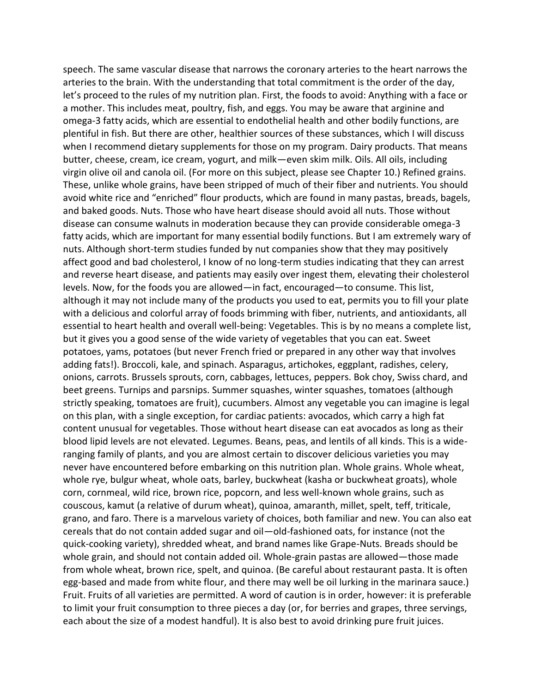speech. The same vascular disease that narrows the coronary arteries to the heart narrows the arteries to the brain. With the understanding that total commitment is the order of the day, let's proceed to the rules of my nutrition plan. First, the foods to avoid: Anything with a face or a mother. This includes meat, poultry, fish, and eggs. You may be aware that arginine and omega-3 fatty acids, which are essential to endothelial health and other bodily functions, are plentiful in fish. But there are other, healthier sources of these substances, which I will discuss when I recommend dietary supplements for those on my program. Dairy products. That means butter, cheese, cream, ice cream, yogurt, and milk—even skim milk. Oils. All oils, including virgin olive oil and canola oil. (For more on this subject, please see Chapter 10.) Refined grains. These, unlike whole grains, have been stripped of much of their fiber and nutrients. You should avoid white rice and "enriched" flour products, which are found in many pastas, breads, bagels, and baked goods. Nuts. Those who have heart disease should avoid all nuts. Those without disease can consume walnuts in moderation because they can provide considerable omega-3 fatty acids, which are important for many essential bodily functions. But I am extremely wary of nuts. Although short-term studies funded by nut companies show that they may positively affect good and bad cholesterol, I know of no long-term studies indicating that they can arrest and reverse heart disease, and patients may easily over ingest them, elevating their cholesterol levels. Now, for the foods you are allowed—in fact, encouraged—to consume. This list, although it may not include many of the products you used to eat, permits you to fill your plate with a delicious and colorful array of foods brimming with fiber, nutrients, and antioxidants, all essential to heart health and overall well-being: Vegetables. This is by no means a complete list, but it gives you a good sense of the wide variety of vegetables that you can eat. Sweet potatoes, yams, potatoes (but never French fried or prepared in any other way that involves adding fats!). Broccoli, kale, and spinach. Asparagus, artichokes, eggplant, radishes, celery, onions, carrots. Brussels sprouts, corn, cabbages, lettuces, peppers. Bok choy, Swiss chard, and beet greens. Turnips and parsnips. Summer squashes, winter squashes, tomatoes (although strictly speaking, tomatoes are fruit), cucumbers. Almost any vegetable you can imagine is legal on this plan, with a single exception, for cardiac patients: avocados, which carry a high fat content unusual for vegetables. Those without heart disease can eat avocados as long as their blood lipid levels are not elevated. Legumes. Beans, peas, and lentils of all kinds. This is a wideranging family of plants, and you are almost certain to discover delicious varieties you may never have encountered before embarking on this nutrition plan. Whole grains. Whole wheat, whole rye, bulgur wheat, whole oats, barley, buckwheat (kasha or buckwheat groats), whole corn, cornmeal, wild rice, brown rice, popcorn, and less well-known whole grains, such as couscous, kamut (a relative of durum wheat), quinoa, amaranth, millet, spelt, teff, triticale, grano, and faro. There is a marvelous variety of choices, both familiar and new. You can also eat cereals that do not contain added sugar and oil—old-fashioned oats, for instance (not the quick-cooking variety), shredded wheat, and brand names like Grape-Nuts. Breads should be whole grain, and should not contain added oil. Whole-grain pastas are allowed—those made from whole wheat, brown rice, spelt, and quinoa. (Be careful about restaurant pasta. It is often egg-based and made from white flour, and there may well be oil lurking in the marinara sauce.) Fruit. Fruits of all varieties are permitted. A word of caution is in order, however: it is preferable to limit your fruit consumption to three pieces a day (or, for berries and grapes, three servings, each about the size of a modest handful). It is also best to avoid drinking pure fruit juices.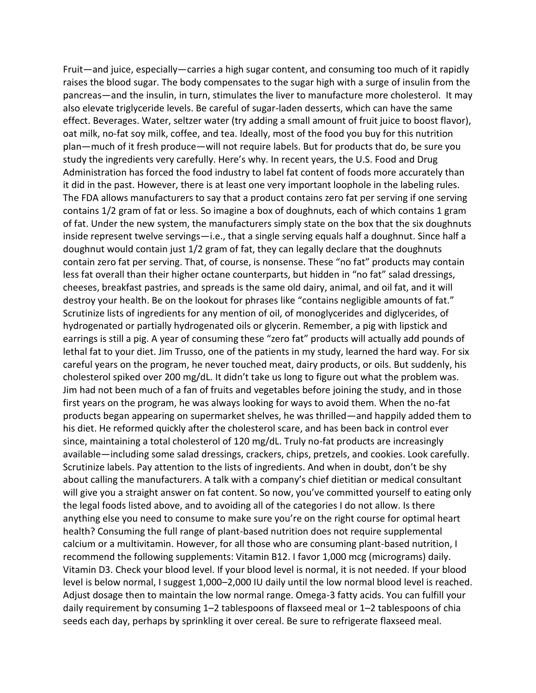Fruit—and juice, especially—carries a high sugar content, and consuming too much of it rapidly raises the blood sugar. The body compensates to the sugar high with a surge of insulin from the pancreas—and the insulin, in turn, stimulates the liver to manufacture more cholesterol. It may also elevate triglyceride levels. Be careful of sugar-laden desserts, which can have the same effect. Beverages. Water, seltzer water (try adding a small amount of fruit juice to boost flavor), oat milk, no-fat soy milk, coffee, and tea. Ideally, most of the food you buy for this nutrition plan—much of it fresh produce—will not require labels. But for products that do, be sure you study the ingredients very carefully. Here's why. In recent years, the U.S. Food and Drug Administration has forced the food industry to label fat content of foods more accurately than it did in the past. However, there is at least one very important loophole in the labeling rules. The FDA allows manufacturers to say that a product contains zero fat per serving if one serving contains 1/2 gram of fat or less. So imagine a box of doughnuts, each of which contains 1 gram of fat. Under the new system, the manufacturers simply state on the box that the six doughnuts inside represent twelve servings—i.e., that a single serving equals half a doughnut. Since half a doughnut would contain just 1/2 gram of fat, they can legally declare that the doughnuts contain zero fat per serving. That, of course, is nonsense. These "no fat" products may contain less fat overall than their higher octane counterparts, but hidden in "no fat" salad dressings, cheeses, breakfast pastries, and spreads is the same old dairy, animal, and oil fat, and it will destroy your health. Be on the lookout for phrases like "contains negligible amounts of fat." Scrutinize lists of ingredients for any mention of oil, of monoglycerides and diglycerides, of hydrogenated or partially hydrogenated oils or glycerin. Remember, a pig with lipstick and earrings is still a pig. A year of consuming these "zero fat" products will actually add pounds of lethal fat to your diet. Jim Trusso, one of the patients in my study, learned the hard way. For six careful years on the program, he never touched meat, dairy products, or oils. But suddenly, his cholesterol spiked over 200 mg/dL. It didn't take us long to figure out what the problem was. Jim had not been much of a fan of fruits and vegetables before joining the study, and in those first years on the program, he was always looking for ways to avoid them. When the no-fat products began appearing on supermarket shelves, he was thrilled—and happily added them to his diet. He reformed quickly after the cholesterol scare, and has been back in control ever since, maintaining a total cholesterol of 120 mg/dL. Truly no-fat products are increasingly available—including some salad dressings, crackers, chips, pretzels, and cookies. Look carefully. Scrutinize labels. Pay attention to the lists of ingredients. And when in doubt, don't be shy about calling the manufacturers. A talk with a company's chief dietitian or medical consultant will give you a straight answer on fat content. So now, you've committed yourself to eating only the legal foods listed above, and to avoiding all of the categories I do not allow. Is there anything else you need to consume to make sure you're on the right course for optimal heart health? Consuming the full range of plant-based nutrition does not require supplemental calcium or a multivitamin. However, for all those who are consuming plant-based nutrition, I recommend the following supplements: Vitamin B12. I favor 1,000 mcg (micrograms) daily. Vitamin D3. Check your blood level. If your blood level is normal, it is not needed. If your blood level is below normal, I suggest 1,000–2,000 IU daily until the low normal blood level is reached. Adjust dosage then to maintain the low normal range. Omega-3 fatty acids. You can fulfill your daily requirement by consuming 1–2 tablespoons of flaxseed meal or 1–2 tablespoons of chia seeds each day, perhaps by sprinkling it over cereal. Be sure to refrigerate flaxseed meal.